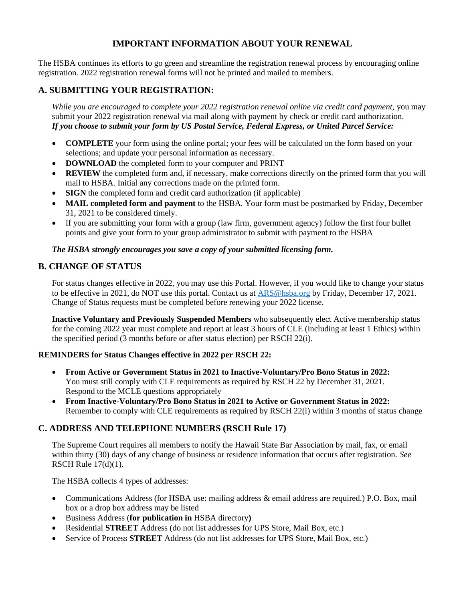# **IMPORTANT INFORMATION ABOUT YOUR RENEWAL**

The HSBA continues its efforts to go green and streamline the registration renewal process by encouraging online registration. 2022 registration renewal forms will not be printed and mailed to members.

## **A. SUBMITTING YOUR REGISTRATION:**

*While you are encouraged to complete your 2022 registration renewal online via credit card payment,* you may submit your 2022 registration renewal via mail along with payment by check or credit card authorization. *If you choose to submit your form by US Postal Service, Federal Express, or United Parcel Service:*

- **COMPLETE** your form using the online portal; your fees will be calculated on the form based on your selections; and update your personal information as necessary.
- **DOWNLOAD** the completed form to your computer and PRINT
- **REVIEW** the completed form and, if necessary, make corrections directly on the printed form that you will mail to HSBA. Initial any corrections made on the printed form.
- **SIGN** the completed form and credit card authorization (if applicable)
- **MAIL completed form and payment** to the HSBA. Your form must be postmarked by Friday, December 31, 2021 to be considered timely.
- If you are submitting your form with a group (law firm, government agency) follow the first four bullet points and give your form to your group administrator to submit with payment to the HSBA

#### *The HSBA strongly encourages you save a copy of your submitted licensing form.*

### **B. CHANGE OF STATUS**

For status changes effective in 2022, you may use this Portal. However, if you would like to change your status to be effective in 2021, do NOT use this portal. Contact us at [ARS@hsba.org](mailto:ARS@hsba.org) by Friday, December 17, 2021. Change of Status requests must be completed before renewing your 2022 license.

**Inactive Voluntary and Previously Suspended Members** who subsequently elect Active membership status for the coming 2022 year must complete and report at least 3 hours of CLE (including at least 1 Ethics) within the specified period (3 months before or after status election) per RSCH 22(i).

### **REMINDERS for Status Changes effective in 2022 per RSCH 22:**

- **From Active or Government Status in 2021 to Inactive-Voluntary/Pro Bono Status in 2022:** You must still comply with CLE requirements as required by RSCH 22 by December 31, 2021. Respond to the MCLE questions appropriately
- **From Inactive-Voluntary/Pro Bono Status in 2021 to Active or Government Status in 2022:** Remember to comply with CLE requirements as required by RSCH 22(i) within 3 months of status change

## **C. ADDRESS AND TELEPHONE NUMBERS (RSCH Rule 17)**

The Supreme Court requires all members to notify the Hawaii State Bar Association by mail, fax, or email within thirty (30) days of any change of business or residence information that occurs after registration. *See* RSCH Rule 17(d)(1).

The HSBA collects 4 types of addresses:

- Communications Address (for HSBA use: mailing address & email address are required.) P.O. Box, mail box or a drop box address may be listed
- Business Address (**for publication in** HSBA directory**)**
- Residential **STREET** Address (do not list addresses for UPS Store, Mail Box, etc.)
- Service of Process **STREET** Address (do not list addresses for UPS Store, Mail Box, etc.)